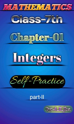



## Chapter-OI





## part-II

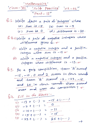$$
\frac{\text{Ylathermatic2}}{\text{Ypar}+\text{Tr}}\frac{\text{Yathermatic2}}{\text{Ypar}+\text{Tr}}\frac{\text{Vax}+ \text{Tr}}{\text{Var}+\text{Tr}}
$$

G.1. Mrite down a pair ob 'integers' whose (a)  $\frac{24m}{16}-\frac{16-5}{16}$  (b)  $\frac{24m}{16}-\frac{16-9}{16}$  $(c)$  Sum is  $0$   $(d)$  difference is -20.

B.2.11) Write a pair du negative integers whose

- (ii) Write a negative integer and a positive
- (iii) Write a negative integer and a positive integer whose difference is -13.

4.3. In a quiz compitition, team 'A' scored  $-15$ ,  $-10$ ,  $0$  and  $2$  scooes in four rounds and team 'B' scored -2, -23, -15 and 10 in four rounds. Whose scored

$$
Q.4. \n\begin{array}{rcl}\n\hline\n\text{(i)} & \text{(ii)} & \text{(iii)} \\
\hline\n\text{(i)} & \text{(i)} & \text{(iv)} \\
\hline\n\text{(ii)} & \text{(iv)} & \text{(iv)} \\
\hline\n\text{(iii)} & \text{(iv)} & \text{(iv)} \\
\hline\n\text{(iv)} & \text{(iv)} & \text{(iv)} \\
\hline\n\text{(iv)} & \text{(v)} & \text{(v)} \\
\hline\n\text{(v)} & \text{(v)} & \text{(v)} \\
\hline\n\text{(v)} & \text{(v)} & \text{(v)} \\
\hline\n\text{(v)} & \text{(v)} & \text{(v)} \\
\hline\n\text{(v)} & \text{(v)} & \text{(v)} \\
\hline\n\text{(v)} & \text{(v)} & \text{(v)} \\
\hline\n\text{(v)} & \text{(v)} & \text{(v)} \\
\hline\n\text{(v)} & \text{(v)} & \text{(v)} \\
\hline\n\text{(v)} & \text{(v)} & \text{(v)} \\
\hline\n\text{(v)} & \text{(v)} & \text{(v)} \\
\hline\n\text{(v)} & \text{(v)} & \text{(v)} \\
\hline\n\text{(v)} & \text{(v)} & \text{(v)} \\
\hline\n\text{(v)} & \text{(v)} & \text{(v)} \\
\hline\n\text{(v)} & \text{(v)} & \text{(v)} \\
\hline\n\text{(v)} & \text{(v)} & \text{(v)} \\
\hline\n\text{(v)} & \text{(v)} & \text{(v)} \\
\hline\n\text{(v)} & \text{(v)} & \text{(v)} \\
\hline\n\text{(v)} & \text{(v)} & \text{(v)} \\
\hline\n\text{(v)} & \text{(v)} & \text{(v)} \\
\hline\n\text{(v)} & \text{(v)} & \text{(v)} \\
\hline\n\text{(v)} & \text{(v)} & \text{(v)} \\
\hline\n\text{(v)} & \text{(v)} & \text{(v)} \\
\hline\n\text{(v)} & \text{(v)} & \text{(v)} \\
\hline\n\text{(v)} & \text{(v
$$